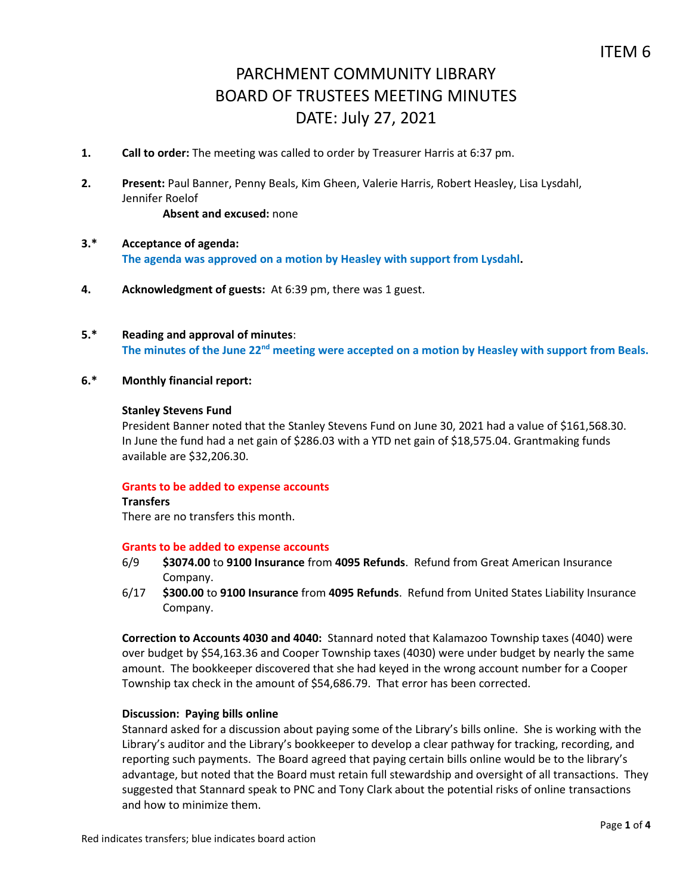- **1. Call to order:** The meeting was called to order by Treasurer Harris at 6:37 pm.
- **2. Present:** Paul Banner, Penny Beals, Kim Gheen, Valerie Harris, Robert Heasley, Lisa Lysdahl, Jennifer Roelof **Absent and excused:** none
- **3.\* Acceptance of agenda: The agenda was approved on a motion by Heasley with support from Lysdahl.**
- **4. Acknowledgment of guests:** At 6:39 pm, there was 1 guest.
- **5.\* Reading and approval of minutes**: **The minutes of the June 22nd meeting were accepted on a motion by Heasley with support from Beals.**
- **6.\* Monthly financial report:**

#### **Stanley Stevens Fund**

President Banner noted that the Stanley Stevens Fund on June 30, 2021 had a value of \$161,568.30. In June the fund had a net gain of \$286.03 with a YTD net gain of \$18,575.04. Grantmaking funds available are \$32,206.30.

#### **Grants to be added to expense accounts**

# **Transfers**

There are no transfers this month.

#### **Grants to be added to expense accounts**

- 6/9 **\$3074.00** to **9100 Insurance** from **4095 Refunds**. Refund from Great American Insurance Company.
- 6/17 **\$300.00** to **9100 Insurance** from **4095 Refunds**. Refund from United States Liability Insurance Company.

**Correction to Accounts 4030 and 4040:** Stannard noted that Kalamazoo Township taxes (4040) were over budget by \$54,163.36 and Cooper Township taxes (4030) were under budget by nearly the same amount. The bookkeeper discovered that she had keyed in the wrong account number for a Cooper Township tax check in the amount of \$54,686.79. That error has been corrected.

## **Discussion: Paying bills online**

Stannard asked for a discussion about paying some of the Library's bills online. She is working with the Library's auditor and the Library's bookkeeper to develop a clear pathway for tracking, recording, and reporting such payments. The Board agreed that paying certain bills online would be to the library's advantage, but noted that the Board must retain full stewardship and oversight of all transactions. They suggested that Stannard speak to PNC and Tony Clark about the potential risks of online transactions and how to minimize them.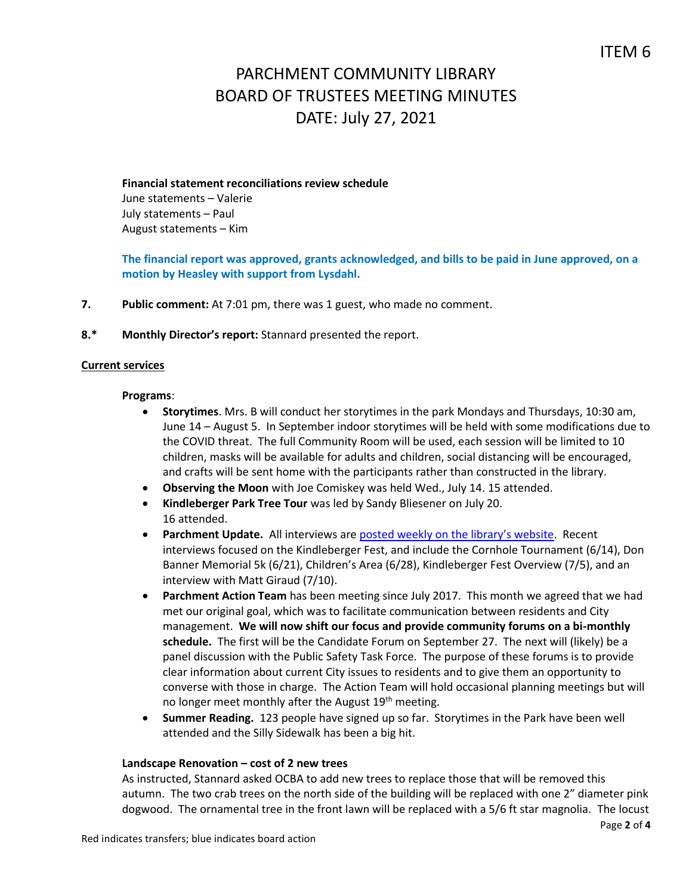# **Financial statement reconciliations review schedule** June statements – Valerie July statements – Paul August statements – Kim

# **The financial report was approved, grants acknowledged, and bills to be paid in June approved, on a motion by Heasley with support from Lysdahl.**

- **7. Public comment:** At 7:01 pm, there was 1 guest, who made no comment.
- **8.\* Monthly Director's report:** Stannard presented the report.

## **Current services**

#### **Programs**:

- **Storytimes**. Mrs. B will conduct her storytimes in the park Mondays and Thursdays, 10:30 am, June 14 – August 5. In September indoor storytimes will be held with some modifications due to the COVID threat. The full Community Room will be used, each session will be limited to 10 children, masks will be available for adults and children, social distancing will be encouraged, and crafts will be sent home with the participants rather than constructed in the library.
- **Observing the Moon** with Joe Comiskey was held Wed., July 14. 15 attended.
- **Kindleberger Park Tree Tour** was led by Sandy Bliesener on July 20. 16 attended.
- **Parchment Update.** All interviews are [posted weekly on the library's website](https://www.parchmentlibrary.org/parchment-update). Recent interviews focused on the Kindleberger Fest, and include the Cornhole Tournament (6/14), Don Banner Memorial 5k (6/21), Children's Area (6/28), Kindleberger Fest Overview (7/5), and an interview with Matt Giraud (7/10).
- **Parchment Action Team** has been meeting since July 2017. This month we agreed that we had met our original goal, which was to facilitate communication between residents and City management. **We will now shift our focus and provide community forums on a bi-monthly schedule.** The first will be the Candidate Forum on September 27. The next will (likely) be a panel discussion with the Public Safety Task Force. The purpose of these forums is to provide clear information about current City issues to residents and to give them an opportunity to converse with those in charge. The Action Team will hold occasional planning meetings but will no longer meet monthly after the August 19<sup>th</sup> meeting.
- **Summer Reading.** 123 people have signed up so far. Storytimes in the Park have been well attended and the Silly Sidewalk has been a big hit.

#### **Landscape Renovation – cost of 2 new trees**

As instructed, Stannard asked OCBA to add new trees to replace those that will be removed this autumn. The two crab trees on the north side of the building will be replaced with one 2" diameter pink dogwood. The ornamental tree in the front lawn will be replaced with a 5/6 ft star magnolia. The locust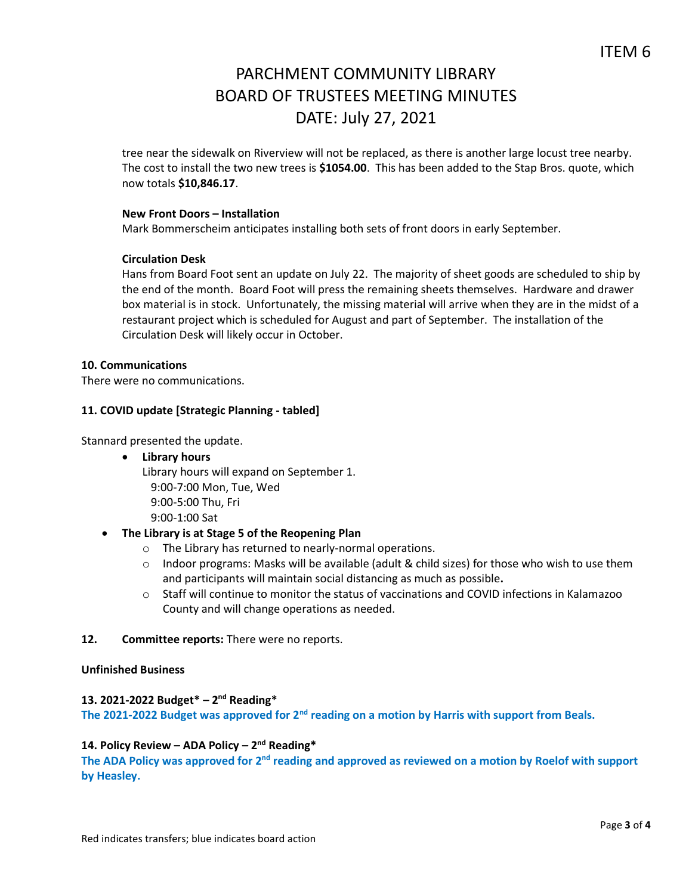tree near the sidewalk on Riverview will not be replaced, as there is another large locust tree nearby. The cost to install the two new trees is **\$1054.00**. This has been added to the Stap Bros. quote, which now totals **\$10,846.17**.

## **New Front Doors – Installation**

Mark Bommerscheim anticipates installing both sets of front doors in early September.

## **Circulation Desk**

Hans from Board Foot sent an update on July 22. The majority of sheet goods are scheduled to ship by the end of the month. Board Foot will press the remaining sheets themselves. Hardware and drawer box material is in stock. Unfortunately, the missing material will arrive when they are in the midst of a restaurant project which is scheduled for August and part of September. The installation of the Circulation Desk will likely occur in October.

#### **10. Communications**

There were no communications.

## **11. COVID update [Strategic Planning - tabled]**

Stannard presented the update.

**Library hours**

Library hours will expand on September 1. 9:00-7:00 Mon, Tue, Wed 9:00-5:00 Thu, Fri 9:00-1:00 Sat

## **The Library is at Stage 5 of the Reopening Plan**

- o The Library has returned to nearly-normal operations.
- $\circ$  Indoor programs: Masks will be available (adult & child sizes) for those who wish to use them and participants will maintain social distancing as much as possible**.**
- $\circ$  Staff will continue to monitor the status of vaccinations and COVID infections in Kalamazoo County and will change operations as needed.

## **12. Committee reports:** There were no reports.

## **Unfinished Business**

# **13. 2021-2022 Budget\* – 2 nd Reading\***

**The 2021-2022 Budget was approved for 2nd reading on a motion by Harris with support from Beals.** 

## **14. Policy Review – ADA Policy – 2 nd Reading\***

The ADA Policy was approved for 2<sup>nd</sup> reading and approved as reviewed on a motion by Roelof with support **by Heasley.**